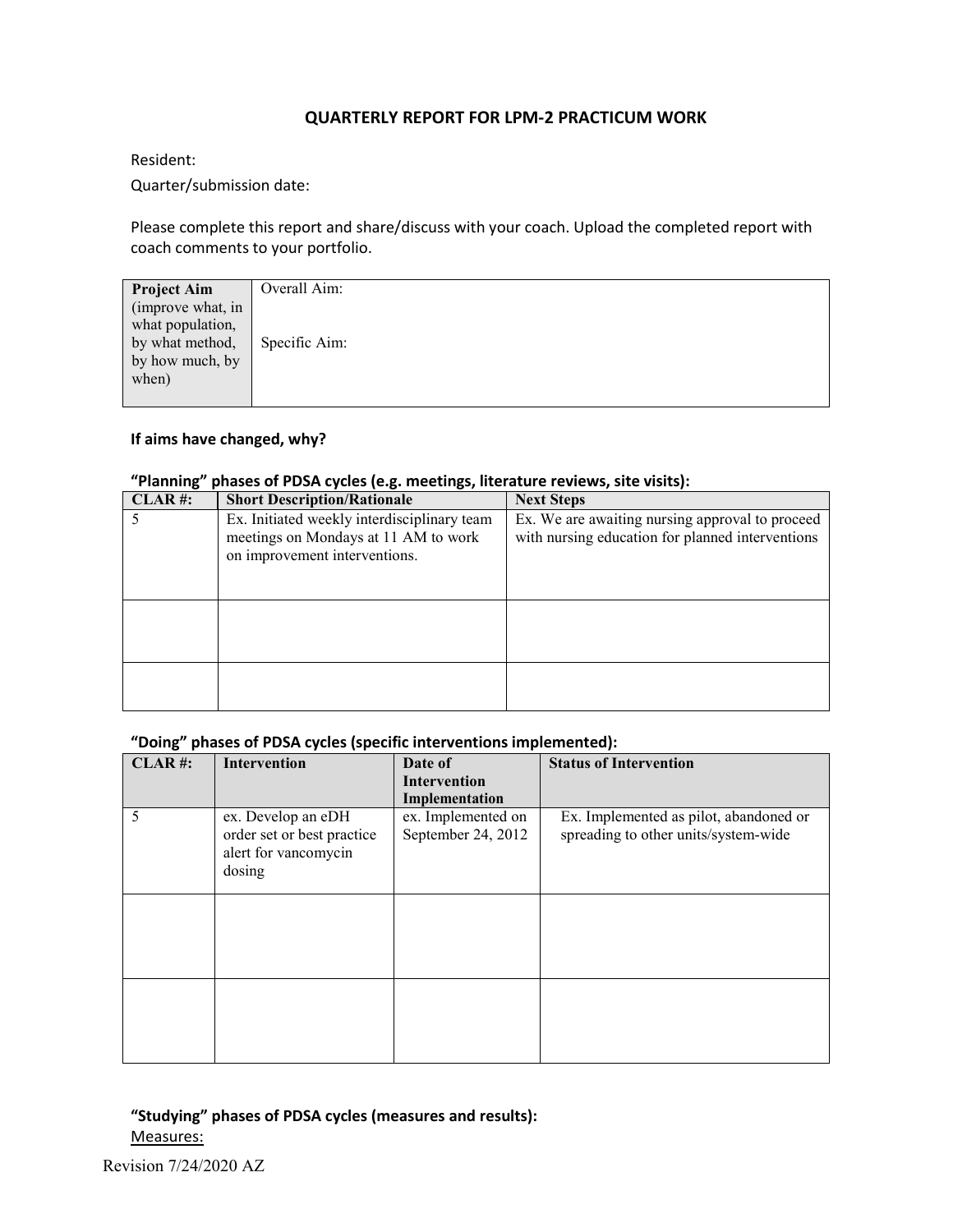## **QUARTERLY REPORT FOR LPM-2 PRACTICUM WORK**

Resident:

Quarter/submission date:

Please complete this report and share/discuss with your coach. Upload the completed report with coach comments to your portfolio.

| Overall Aim:  |
|---------------|
|               |
|               |
|               |
|               |
| Specific Aim: |
|               |
|               |
|               |
|               |
|               |
|               |

### **If aims have changed, why?**

### **"Planning" phases of PDSA cycles (e.g. meetings, literature reviews, site visits):**

| $CLAR$ #: | <b>Short Description/Rationale</b>                                                                                   | <b>Next Steps</b>                                                                                   |
|-----------|----------------------------------------------------------------------------------------------------------------------|-----------------------------------------------------------------------------------------------------|
|           | Ex. Initiated weekly interdisciplinary team<br>meetings on Mondays at 11 AM to work<br>on improvement interventions. | Ex. We are awaiting nursing approval to proceed<br>with nursing education for planned interventions |
|           |                                                                                                                      |                                                                                                     |
|           |                                                                                                                      |                                                                                                     |

## **"Doing" phases of PDSA cycles (specific interventions implemented):**

| CLAR#: | Intervention                                                                       | Date of                                  | <b>Status of Intervention</b>                                                  |
|--------|------------------------------------------------------------------------------------|------------------------------------------|--------------------------------------------------------------------------------|
|        |                                                                                    | <b>Intervention</b><br>Implementation    |                                                                                |
| 5      | ex. Develop an eDH<br>order set or best practice<br>alert for vancomycin<br>dosing | ex. Implemented on<br>September 24, 2012 | Ex. Implemented as pilot, abandoned or<br>spreading to other units/system-wide |
|        |                                                                                    |                                          |                                                                                |
|        |                                                                                    |                                          |                                                                                |

# **"Studying" phases of PDSA cycles (measures and results):** Measures: